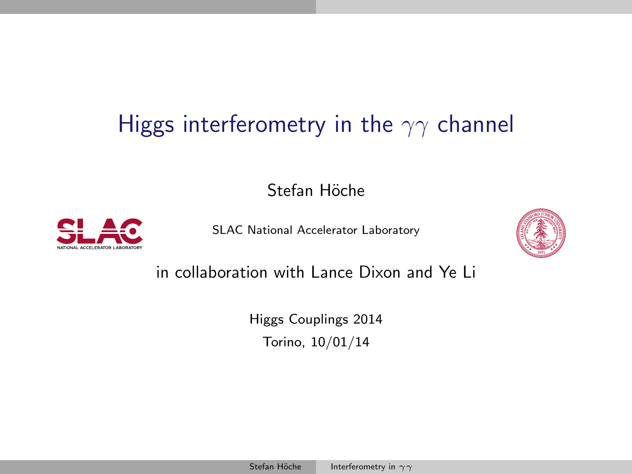## Higgs interferometry in the  $\gamma\gamma$  channel

Stefan Höche



[SLAC National Accelerator Laboratory](http://slac.stanford.edu/th/th.html)

<span id="page-0-0"></span>

in collaboration with Lance Dixon and Ye Li

[Higgs Couplings 2014](http://higgscoupling2014.to.infn.it/) Torino, 10/01/14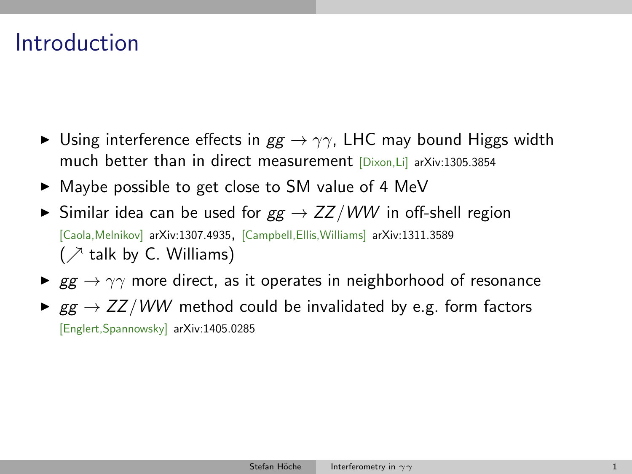## Introduction

- $\triangleright$  Using interference effects in  $gg \rightarrow \gamma\gamma$ , LHC may bound Higgs width much better than in direct measurement [Dixon,Li] [arXiv:1305.3854](http://inspirebeta.net/search?action_search=Search&p=1305.3854)
- $\triangleright$  Maybe possible to get close to SM value of 4 MeV
- $\triangleright$  Similar idea can be used for  $gg \rightarrow ZZ/WW$  in off-shell region [Caola, Melnikov] [arXiv:1307.4935,](http://inspirebeta.net/search?action_search=Search&p=1307.4935) [Campbell, Ellis, Williams] [arXiv:1311.3589](http://inspirebeta.net/search?action_search=Search&p=1311.3589)  $($   $\geq$  talk by C. Williams)
- $\triangleright$  gg  $\rightarrow \gamma\gamma$  more direct, as it operates in neighborhood of resonance
- $\triangleright$  gg  $\rightarrow$  ZZ/WW method could be invalidated by e.g. form factors [Englert,Spannowsky] [arXiv:1405.0285](http://inspirebeta.net/search?action_search=Search&p=1405.0285)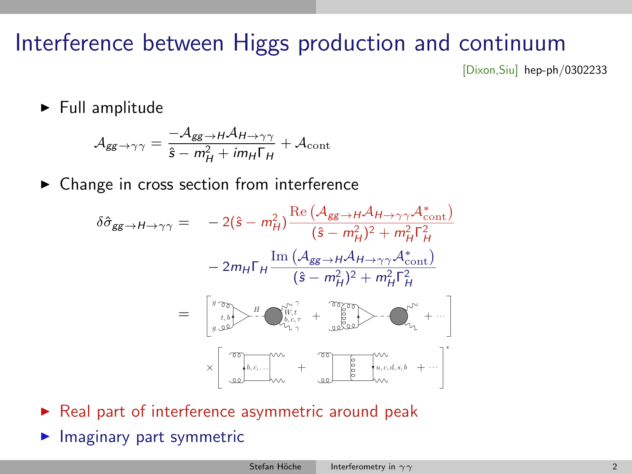## Interference between Higgs production and continuum

[Dixon,Siu] [hep-ph/0302233](http://inspirebeta.net/search?action_search=Search&p=hep-ph/0302233)

 $\blacktriangleright$  Full amplitude

$$
\mathcal{A}_{gg \to \gamma\gamma} = \frac{-\mathcal{A}_{gg \to H}\mathcal{A}_{H \to \gamma\gamma}}{\hat{s} - m_H^2 + i m_H \Gamma_H} + \mathcal{A}_{\text{cont}}
$$

 $\triangleright$  Change in cross section from interference

$$
\delta \hat{\sigma}_{gg \to H \to \gamma \gamma} = -2(\hat{s} - m_H^2) \frac{\text{Re}\left(A_{gg \to H} A_{H \to \gamma \gamma} A_{\text{cont}}^* \right)}{(\hat{s} - m_H^2)^2 + m_H^2 \Gamma_H^2}
$$

$$
-2m_H \Gamma_H \frac{\text{Im}\left(A_{gg \to H} A_{H \to \gamma \gamma} A_{\text{cont}}^* \right)}{(\hat{s} - m_H^2)^2 + m_H^2 \Gamma_H^2}
$$

$$
= \begin{bmatrix} {^g \overline{\sigma} \sigma} \\ {^g \overline{\sigma} \sigma} \\ {^g \overline{\sigma} \sigma} \end{bmatrix} + \mathbf{e}_{\hat{\sigma}, \hat{\sigma}, \gamma}^{N^{\gamma^{\gamma^{\prime}}} + \mathbf{e}_{\hat{\sigma}} \frac{\text{diag}}{\text{diag}} \mathbf{e}_{\hat{\sigma}, \hat{\sigma}, \hat{\sigma}}^{N^{\gamma^{\prime}}} + \cdots \begin{bmatrix} \overline{\sigma} \\ {^g \overline{\sigma} \sigma} \\ {^g \overline{\sigma} \sigma} \\ {^g \overline{\sigma} \sigma} \end{bmatrix} + \mathbf{e}_{\hat{\sigma}, \hat{\sigma}, \hat{\sigma}, \hat{\sigma}}^{N^{\gamma^{\prime}}} + \cdots \begin{bmatrix} \overline{\sigma} \\ {^g \overline{\sigma} \sigma} \\ {^g \overline{\sigma} \sigma} \\ {^g \overline{\sigma} \sigma} \end{bmatrix} + \mathbf{e}_{\hat{\sigma}, \hat{\sigma}, \hat{\sigma}, \hat{\sigma}}^{N^{\gamma^{\prime}}} + \cdots \begin{bmatrix} \overline{\sigma} \\ {^g \overline{\sigma} \sigma} \\ {^g \overline{\sigma} \sigma} \\ {^g \overline{\sigma} \sigma} \end{bmatrix}.
$$

- $\triangleright$  Real part of interference asymmetric around peak
- $\blacktriangleright$  Imaginary part symmetric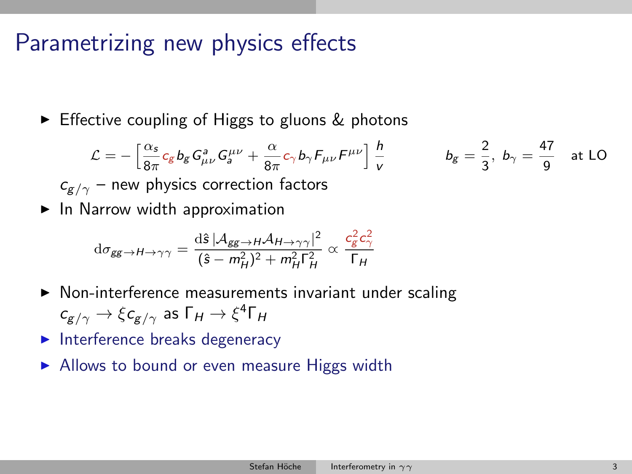### Parametrizing new physics effects

 $\triangleright$  Effective coupling of Higgs to gluons & photons

$$
\mathcal{L} = -\left[\frac{\alpha_s}{8\pi}c_g b_g G_{\mu\nu}^a G_{a}^{\mu\nu} + \frac{\alpha}{8\pi}c_\gamma b_\gamma F_{\mu\nu}F^{\mu\nu}\right] \frac{h}{v} \qquad b_g = \frac{2}{3}, \ b_\gamma = \frac{47}{9} \text{ at LO}
$$
  

$$
c_{g/\gamma} - \text{new physics correction factors}
$$

 $\blacktriangleright$  In Narrow width approximation

$$
\mathrm{d}\sigma_{gg \to H \to \gamma\gamma} = \frac{\mathrm{d}\hat{s} \left| \mathcal{A}_{gg \to H} \mathcal{A}_{H \to \gamma\gamma} \right|^2}{(\hat{s} - m_H^2)^2 + m_H^2 \Gamma_H^2} \propto \frac{c_g^2 c_\gamma^2}{\Gamma_H}
$$

- $\triangleright$  Non-interference measurements invariant under scaling  $c_{\textit{g}/\gamma} \rightarrow \xi c_{\textit{g}/\gamma}$  as  $\Gamma_H \rightarrow \xi^4 \Gamma_H$
- $\blacktriangleright$  Interference breaks degeneracy
- $\triangleright$  Allows to bound or even measure Higgs width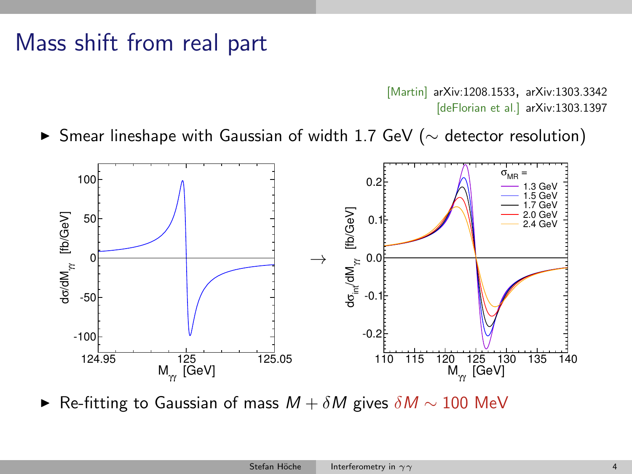#### Mass shift from real part

[Martin] [arXiv:1208.1533,](http://inspirebeta.net/search?action_search=Search&p=1208.1533) [arXiv:1303.3342](http://inspirebeta.net/search?action_search=Search&p=1303.3342) [deFlorian et al.] [arXiv:1303.1397](http://inspirebeta.net/search?action_search=Search&p=1303.1397)

► Smear lineshape with Gaussian of width 1.7 GeV ( $\sim$  detector resolution)



► Re-fitting to Gaussian of mass  $M + \delta M$  gives  $\delta M \sim 100$  MeV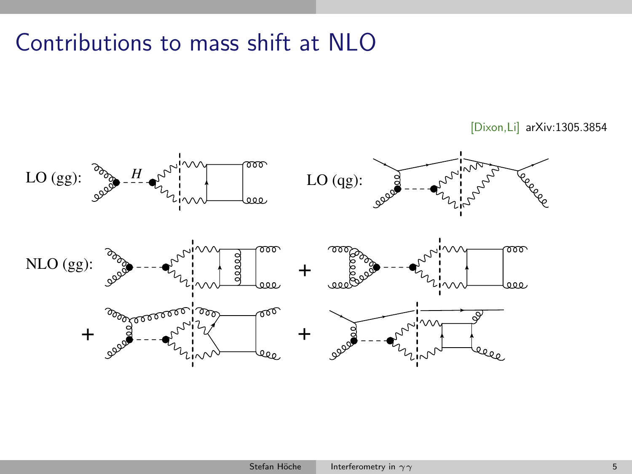## Contributions to mass shift at NLO

[Dixon,Li] [arXiv:1305.3854](http://inspirebeta.net/search?action_search=Search&p=1305.3854)

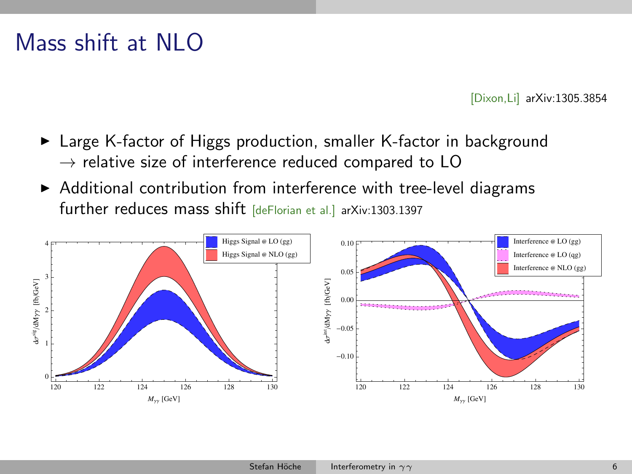### Mass shift at NLO

[Dixon,Li] [arXiv:1305.3854](http://inspirebeta.net/search?action_search=Search&p=1305.3854)

- ► Large K-factor of Higgs production, smaller K-factor in background  $\rightarrow$  relative size of interference reduced compared to LO
- $\triangleright$  Additional contribution from interference with tree-level diagrams further reduces mass shift [deFlorian et al.] [arXiv:1303.1397](http://inspirebeta.net/search?action_search=Search&p=1303.1397)

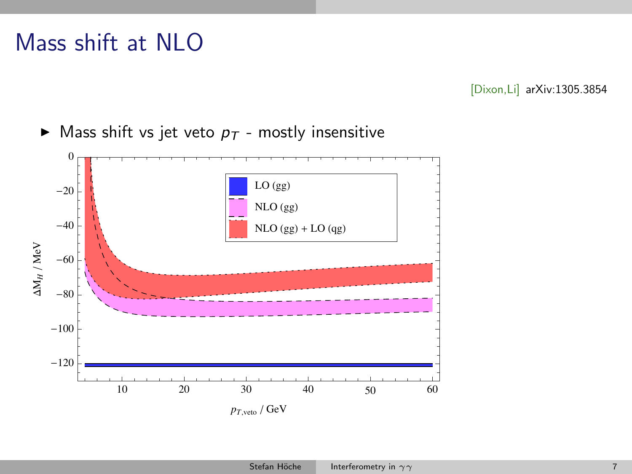## Mass shift at NLO

[Dixon,Li] [arXiv:1305.3854](http://inspirebeta.net/search?action_search=Search&p=1305.3854)

 $\blacktriangleright$  Mass shift vs jet veto  $p_T$  - mostly insensitive

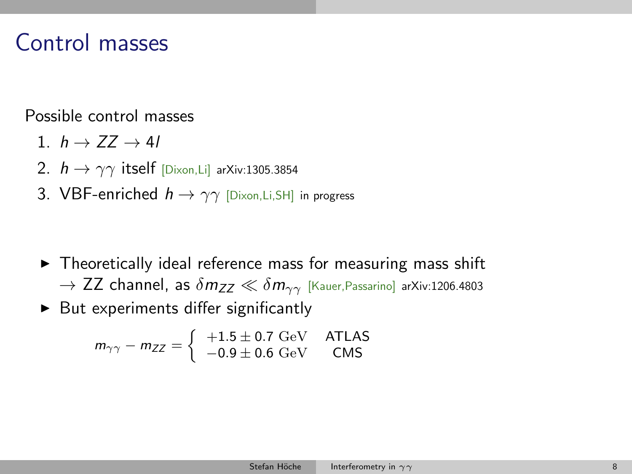#### Control masses

Possible control masses

- 1.  $h \rightarrow ZZ \rightarrow 4l$
- 2.  $h \rightarrow \gamma \gamma$  itself [Dixon,Li] [arXiv:1305.3854](http://inspirebeta.net/search?action_search=Search&p=1305.3854)
- 3. VBF-enriched  $h \rightarrow \gamma \gamma$  [Dixon, Li, SH] [in progress](http://inspirebeta.net/search?action_search=Search&p=)

- $\triangleright$  Theoretically ideal reference mass for measuring mass shift  $\rightarrow$  ZZ channel, as  $\delta m_{ZZ} \ll \delta m_{\gamma\gamma}$  [Kauer, Passarino] [arXiv:1206.4803](http://inspirebeta.net/search?action_search=Search&p=1206.4803)
- $\triangleright$  But experiments differ significantly

$$
m_{\gamma\gamma} - m_{ZZ} = \left\{ \begin{array}{cc} +1.5 \pm 0.7 \text{ GeV} & \text{ATLAS} \\ -0.9 \pm 0.6 \text{ GeV} & \text{CMS} \end{array} \right.
$$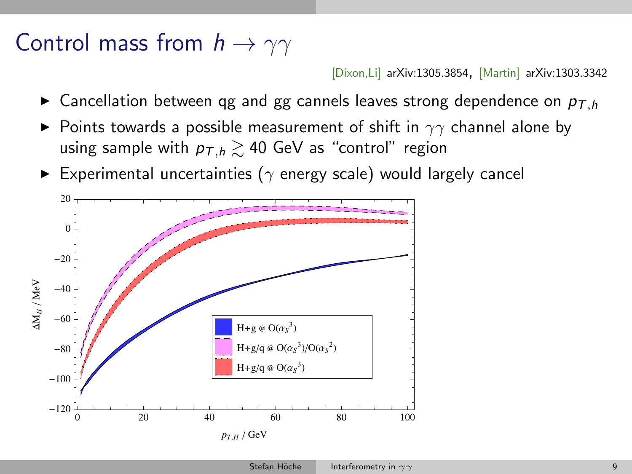#### Control mass from  $h \to \gamma\gamma$

[Dixon,Li] [arXiv:1305.3854,](http://inspirebeta.net/search?action_search=Search&p=1305.3854) [Martin] [arXiv:1303.3342](http://inspirebeta.net/search?action_search=Search&p=1303.3342)

- $\triangleright$  Cancellation between qg and gg cannels leaves strong dependence on  $p_{\tau h}$
- $\triangleright$  Points towards a possible measurement of shift in  $\gamma\gamma$  channel alone by using sample with  $p_{T,h} \ge 40$  GeV as "control" region
- Experimental uncertainties ( $\gamma$  energy scale) would largely cancel

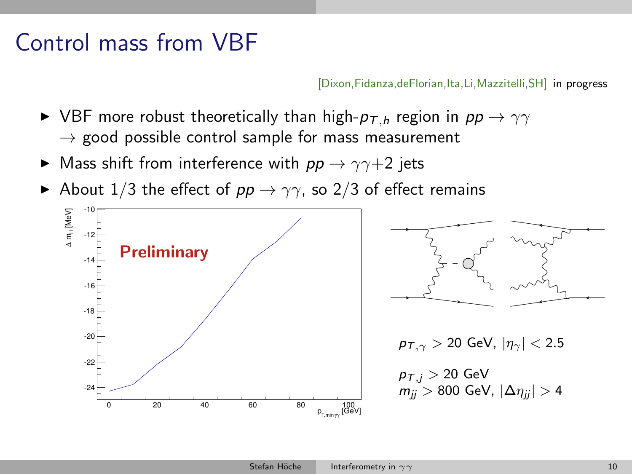### Control mass from VBF

[Dixon,Fidanza,deFlorian,Ita,Li,Mazzitelli,SH] [in progress](http://inspirebeta.net/search?action_search=Search&p=14mm.nnnn)

- $\triangleright$  VBF more robust theoretically than high- $p_{\tau,h}$  region in  $pp \rightarrow \gamma\gamma$  $\rightarrow$  good possible control sample for mass measurement
- $\triangleright$  Mass shift from interference with  $pp \rightarrow \gamma \gamma + 2$  jets
- About 1/3 the effect of  $pp \rightarrow \gamma \gamma$ , so 2/3 of effect remains





 $p_{\overline{I},\gamma} > 20$  GeV,  $|\eta_{\gamma}| < 2.5$ 

 $p_{T,j} > 20$  GeV  $m_{ii} > 800$  GeV,  $|\Delta \eta_{ii}| > 4$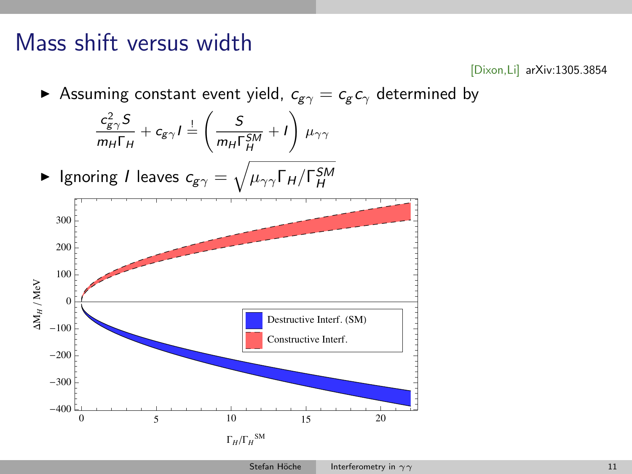#### Mass shift versus width

[Dixon,Li] [arXiv:1305.3854](http://inspirebeta.net/search?action_search=Search&p=1305.3854)

Assuming constant event yield,  $c_{g\gamma} = c_g c_\gamma$  determined by



 $\Gamma_H/\Gamma_H^{\text{SM}}$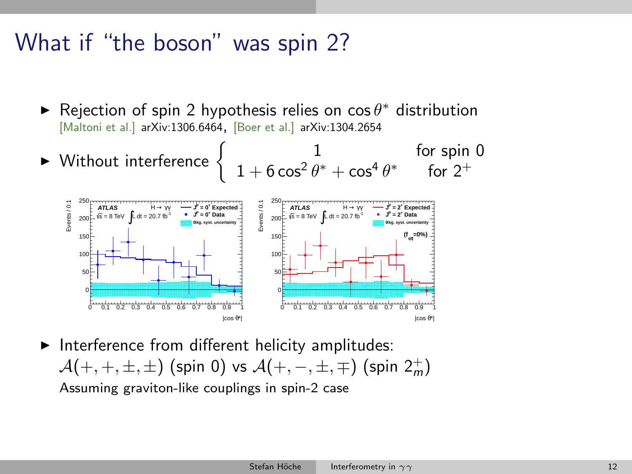#### What if "the boson" was spin 2?

- ► Rejection of spin 2 hypothesis relies on cos  $\theta^*$  distribution [Maltoni et al.] [arXiv:1306.6464,](http://inspirebeta.net/search?action_search=Search&p=1306.6464) [Boer et al.] [arXiv:1304.2654](http://inspirebeta.net/search?action_search=Search&p=1304.2654)
- If  $\triangleright$  Without interference  $\begin{cases} 1 & \text{for spin } 0 \\ 1 + 6\cos^2 \theta^* + \cos^4 \theta^* & \text{for } 2^+ \end{cases}$  $1 + 6\cos^2\theta^* + \cos^4\theta^*$  for  $2^+$



 $\blacktriangleright$  Interference from different helicity amplitudes:  $\mathcal{A}(+,+, \pm, \pm)$  (spin 0) vs  $\mathcal{A}(+,-,\pm, \mp)$  (spin  $2^+_m$ ) Assuming graviton-like couplings in spin-2 case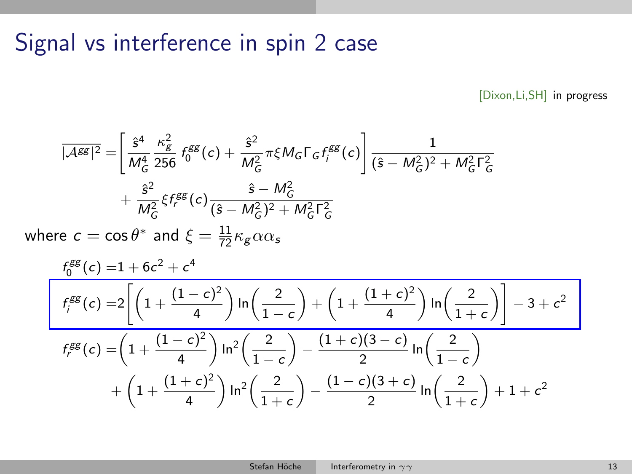### Signal vs interference in spin 2 case

[Dixon,Li,SH] [in progress](http://inspirebeta.net/search?action_search=Search&p=14mm.nnnn)

$$
\overline{|\mathcal{A}^{gg}|^2} = \left[ \frac{\hat{s}^4}{M_G^4} \frac{\kappa_g^2}{256} f_0^{gg}(c) + \frac{\hat{s}^2}{M_G^2} \pi \xi M_G \Gamma_G f_i^{gg}(c) \right] \frac{1}{(\hat{s} - M_G^2)^2 + M_G^2 \Gamma_G^2} + \frac{\hat{s}^2}{M_G^2} \xi f_i^{gg}(c) \frac{\hat{s} - M_G^2}{(\hat{s} - M_G^2)^2 + M_G^2 \Gamma_G^2}
$$

where  $c = \cos \theta^*$  and  $\xi = \frac{11}{72} \kappa_{\mathcal{S}} \alpha \alpha_{\mathcal{S}}$ 

$$
\frac{f_0^{gg}(c) = 1 + 6c^2 + c^4}{f_i^{gg}(c) = 2\left[\left(1 + \frac{(1-c)^2}{4}\right)\ln\left(\frac{2}{1-c}\right) + \left(1 + \frac{(1+c)^2}{4}\right)\ln\left(\frac{2}{1+c}\right)\right] - 3 + c^2}
$$
\n
$$
f_{r}^{gg}(c) = \left(1 + \frac{(1-c)^2}{4}\right)\ln^2\left(\frac{2}{1-c}\right) - \frac{(1+c)(3-c)}{2}\ln\left(\frac{2}{1-c}\right)
$$
\n
$$
+ \left(1 + \frac{(1+c)^2}{4}\right)\ln^2\left(\frac{2}{1+c}\right) - \frac{(1-c)(3+c)}{2}\ln\left(\frac{2}{1+c}\right) + 1 + c^2
$$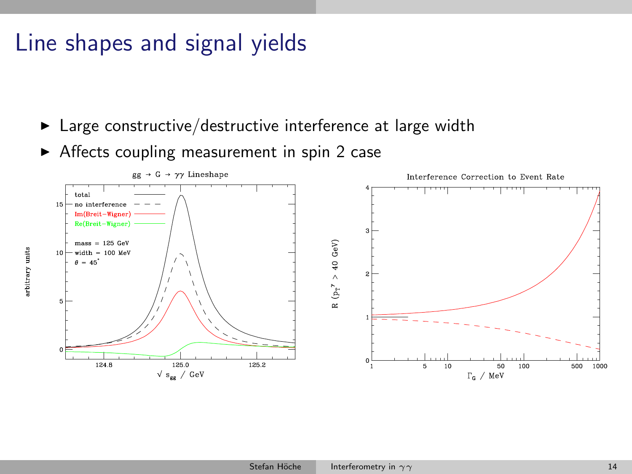## Line shapes and signal yields

 $\blacktriangleright$  Large constructive/destructive interference at large width

 $\triangleright$  Affects coupling measurement in spin 2 case

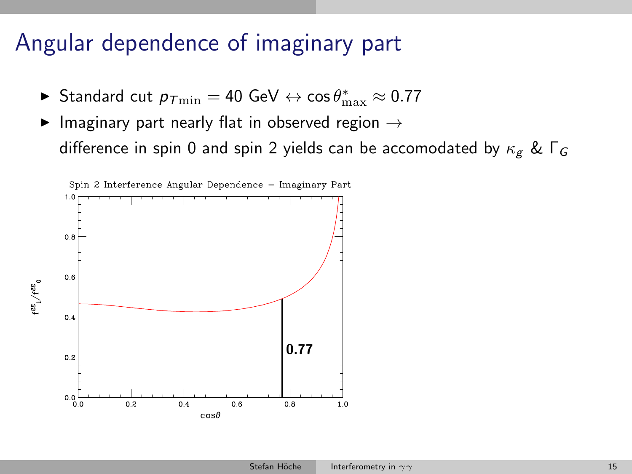## Angular dependence of imaginary part

- ► Standard cut  $p_{T\text{min}} = 40 \text{ GeV} \leftrightarrow \cos \theta_{\text{max}}^* \approx 0.77$
- Imaginary part nearly flat in observed region  $\rightarrow$ difference in spin 0 and spin 2 yields can be accomodated by  $\kappa_g$  &  $\Gamma_G$

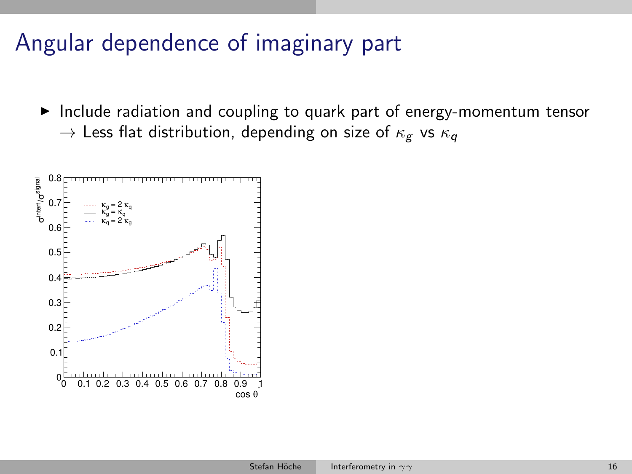## Angular dependence of imaginary part

 $\blacktriangleright$  Include radiation and coupling to quark part of energy-momentum tensor  $\rightarrow$  Less flat distribution, depending on size of  $\kappa_{\varrho}$  vs  $\kappa_{\varrho}$